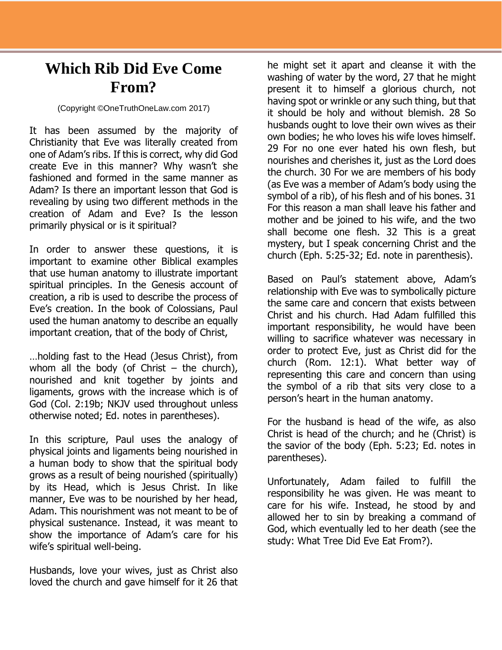## **Which Rib Did Eve Come From?**

## (Copyright ©OneTruthOneLaw.com 2017)

It has been assumed by the majority of Christianity that Eve was literally created from one of Adam's ribs. If this is correct, why did God create Eve in this manner? Why wasn't she fashioned and formed in the same manner as Adam? Is there an important lesson that God is revealing by using two different methods in the creation of Adam and Eve? Is the lesson primarily physical or is it spiritual?

In order to answer these questions, it is important to examine other Biblical examples that use human anatomy to illustrate important spiritual principles. In the Genesis account of creation, a rib is used to describe the process of Eve's creation. In the book of Colossians, Paul used the human anatomy to describe an equally important creation, that of the body of Christ,

…holding fast to the Head (Jesus Christ), from whom all the body (of Christ – the church), nourished and knit together by joints and ligaments, grows with the increase which is of God (Col. 2:19b; NKJV used throughout unless otherwise noted; Ed. notes in parentheses).

In this scripture, Paul uses the analogy of physical joints and ligaments being nourished in a human body to show that the spiritual body grows as a result of being nourished (spiritually) by its Head, which is Jesus Christ. In like manner, Eve was to be nourished by her head, Adam. This nourishment was not meant to be of physical sustenance. Instead, it was meant to show the importance of Adam's care for his wife's spiritual well-being.

Husbands, love your wives, just as Christ also loved the church and gave himself for it 26 that

he might set it apart and cleanse it with the washing of water by the word, 27 that he might present it to himself a glorious church, not having spot or wrinkle or any such thing, but that it should be holy and without blemish. 28 So husbands ought to love their own wives as their own bodies; he who loves his wife loves himself. 29 For no one ever hated his own flesh, but nourishes and cherishes it, just as the Lord does the church. 30 For we are members of his body (as Eve was a member of Adam's body using the symbol of a rib), of his flesh and of his bones. 31 For this reason a man shall leave his father and mother and be joined to his wife, and the two shall become one flesh. 32 This is a great mystery, but I speak concerning Christ and the church (Eph. 5:25-32; Ed. note in parenthesis).

Based on Paul's statement above, Adam's relationship with Eve was to symbolically picture the same care and concern that exists between Christ and his church. Had Adam fulfilled this important responsibility, he would have been willing to sacrifice whatever was necessary in order to protect Eve, just as Christ did for the church (Rom. 12:1). What better way of representing this care and concern than using the symbol of a rib that sits very close to a person's heart in the human anatomy.

For the husband is head of the wife, as also Christ is head of the church; and he (Christ) is the savior of the body (Eph. 5:23; Ed. notes in parentheses).

Unfortunately, Adam failed to fulfill the responsibility he was given. He was meant to care for his wife. Instead, he stood by and allowed her to sin by breaking a command of God, which eventually led to her death (see the study: What Tree Did Eve Eat From?).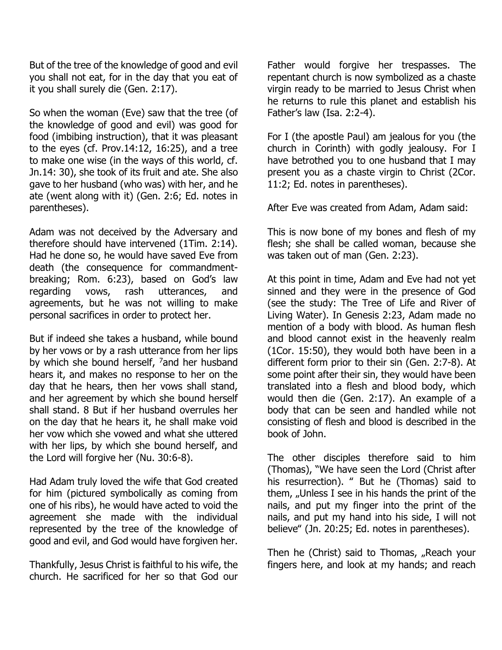But of the tree of the knowledge of good and evil you shall not eat, for in the day that you eat of it you shall surely die (Gen. 2:17).

So when the woman (Eve) saw that the tree (of the knowledge of good and evil) was good for food (imbibing instruction), that it was pleasant to the eyes (cf. Prov.14:12, 16:25), and a tree to make one wise (in the ways of this world, cf. Jn.14: 30), she took of its fruit and ate. She also gave to her husband (who was) with her, and he ate (went along with it) (Gen. 2:6; Ed. notes in parentheses).

Adam was not deceived by the Adversary and therefore should have intervened (1Tim. 2:14). Had he done so, he would have saved Eve from death (the consequence for commandmentbreaking; Rom. 6:23), based on God's law regarding vows, rash utterances, and agreements, but he was not willing to make personal sacrifices in order to protect her.

But if indeed she takes a husband, while bound by her vows or by a rash utterance from her lips by which she bound herself,  $^7$  and her husband hears it, and makes no response to her on the day that he hears, then her vows shall stand, and her agreement by which she bound herself shall stand. 8 But if her husband overrules her on the day that he hears it, he shall make void her vow which she vowed and what she uttered with her lips, by which she bound herself, and the Lord will forgive her (Nu. 30:6-8).

Had Adam truly loved the wife that God created for him (pictured symbolically as coming from one of his ribs), he would have acted to void the agreement she made with the individual represented by the tree of the knowledge of good and evil, and God would have forgiven her.

Thankfully, Jesus Christ is faithful to his wife, the church. He sacrificed for her so that God our

Father would forgive her trespasses. The repentant church is now symbolized as a chaste virgin ready to be married to Jesus Christ when he returns to rule this planet and establish his Father's law (Isa. 2:2-4).

For I (the apostle Paul) am jealous for you (the church in Corinth) with godly jealousy. For I have betrothed you to one husband that I may present you as a chaste virgin to Christ (2Cor. 11:2; Ed. notes in parentheses).

After Eve was created from Adam, Adam said:

This is now bone of my bones and flesh of my flesh; she shall be called woman, because she was taken out of man (Gen. 2:23).

At this point in time, Adam and Eve had not yet sinned and they were in the presence of God (see the study: The Tree of Life and River of Living Water). In Genesis 2:23, Adam made no mention of a body with blood. As human flesh and blood cannot exist in the heavenly realm (1Cor. 15:50), they would both have been in a different form prior to their sin (Gen. 2:7-8). At some point after their sin, they would have been translated into a flesh and blood body, which would then die (Gen. 2:17). An example of a body that can be seen and handled while not consisting of flesh and blood is described in the book of John.

The other disciples therefore said to him (Thomas), "We have seen the Lord (Christ after his resurrection). " But he (Thomas) said to them,  $\mu$ Unless I see in his hands the print of the nails, and put my finger into the print of the nails, and put my hand into his side, I will not believe" (Jn. 20:25; Ed. notes in parentheses).

Then he (Christ) said to Thomas, "Reach your fingers here, and look at my hands; and reach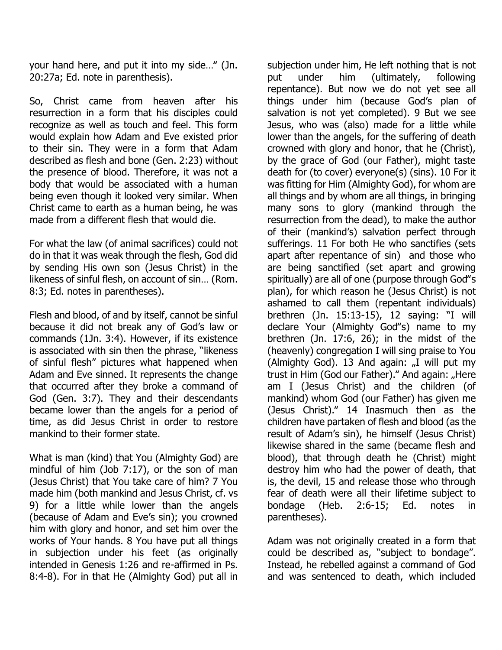your hand here, and put it into my side…" (Jn. 20:27a; Ed. note in parenthesis).

So, Christ came from heaven after his resurrection in a form that his disciples could recognize as well as touch and feel. This form would explain how Adam and Eve existed prior to their sin. They were in a form that Adam described as flesh and bone (Gen. 2:23) without the presence of blood. Therefore, it was not a body that would be associated with a human being even though it looked very similar. When Christ came to earth as a human being, he was made from a different flesh that would die.

For what the law (of animal sacrifices) could not do in that it was weak through the flesh, God did by sending His own son (Jesus Christ) in the likeness of sinful flesh, on account of sin… (Rom. 8:3; Ed. notes in parentheses).

Flesh and blood, of and by itself, cannot be sinful because it did not break any of God's law or commands (1Jn. 3:4). However, if its existence is associated with sin then the phrase, "likeness of sinful flesh" pictures what happened when Adam and Eve sinned. It represents the change that occurred after they broke a command of God (Gen. 3:7). They and their descendants became lower than the angels for a period of time, as did Jesus Christ in order to restore mankind to their former state.

What is man (kind) that You (Almighty God) are mindful of him (Job 7:17), or the son of man (Jesus Christ) that You take care of him? 7 You made him (both mankind and Jesus Christ, cf. vs 9) for a little while lower than the angels (because of Adam and Eve's sin); you crowned him with glory and honor, and set him over the works of Your hands. 8 You have put all things in subjection under his feet (as originally intended in Genesis 1:26 and re-affirmed in Ps. 8:4-8). For in that He (Almighty God) put all in

subjection under him, He left nothing that is not put under him (ultimately, following repentance). But now we do not yet see all things under him (because God's plan of salvation is not yet completed). 9 But we see Jesus, who was (also) made for a little while lower than the angels, for the suffering of death crowned with glory and honor, that he (Christ), by the grace of God (our Father), might taste death for (to cover) everyone(s) (sins). 10 For it was fitting for Him (Almighty God), for whom are all things and by whom are all things, in bringing many sons to glory (mankind through the resurrection from the dead), to make the author of their (mankind's) salvation perfect through sufferings. 11 For both He who sanctifies (sets apart after repentance of sin) and those who are being sanctified (set apart and growing spiritually) are all of one (purpose through God"s plan), for which reason he (Jesus Christ) is not ashamed to call them (repentant individuals) brethren (Jn. 15:13-15), 12 saying: "I will declare Your (Almighty God"s) name to my brethren (Jn. 17:6, 26); in the midst of the (heavenly) congregation I will sing praise to You (Almighty God). 13 And again:  $\overline{J}$  will put my trust in Him (God our Father)." And again: "Here am I (Jesus Christ) and the children (of mankind) whom God (our Father) has given me (Jesus Christ)." 14 Inasmuch then as the children have partaken of flesh and blood (as the result of Adam's sin), he himself (Jesus Christ) likewise shared in the same (became flesh and blood), that through death he (Christ) might destroy him who had the power of death, that is, the devil, 15 and release those who through fear of death were all their lifetime subject to bondage (Heb. 2:6-15; Ed. notes in parentheses).

Adam was not originally created in a form that could be described as, "subject to bondage". Instead, he rebelled against a command of God and was sentenced to death, which included